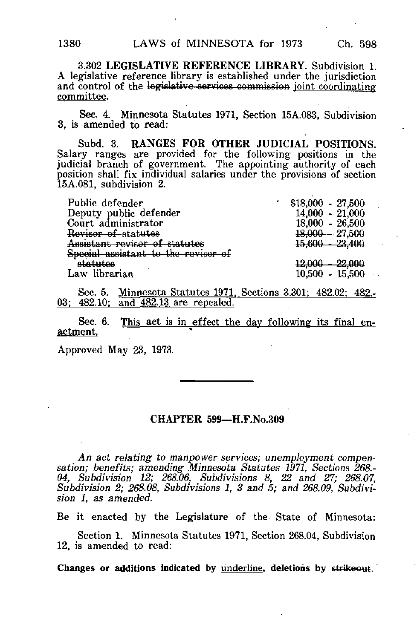3.302 LEGISLATIVE REFERENCE LIBRARY. Subdivision 1. A legislative reference library is established under the jurisdiction and control of the legislative services commission joint coordinating committee.

Sec. 4. Minnesota Statutes 1971, Section 15A.083, Subdivision 3, is amended to read:

Subd. 3. RANGES FOR OTHER JUDICIAL POSITIONS. Salary ranges are provided for the following positions in the judicial branch of government. The appointing authority of each position shall fix individual salaries under the provisions of section 15A.081, subdivision 2.

| Public defender                     | $$18,000 - 27,500$ |
|-------------------------------------|--------------------|
| Deputy public defender              | $14,000 - 21,000$  |
| Court administrator                 | $18,000 - 26,500$  |
| Revisor of statutes                 | $18,000 - 27,500$  |
| Assistant reviser of statutes       | $15,600 - 23,400$  |
| Special assistant to the revisor of |                    |
| s <del>tatutes</del>                | $12,000 - 22,000$  |
| Law librarian                       | $10,500 - 15,500$  |
|                                     |                    |

Sec. 5. Minnesota Statutes 1971, Sections 3.301; 482.02; 482.-03: 482.10: and 482.13 are repealed.

Sec. 6. This act is in effect the day following its final enactment.

Approved May 23, 1973.

## CHAPTER 599—H.F.No.309

An act relating to manpower services; unemployment compensation; benefits; amending Minnesota Statutes 1971, Sections 268.- 04, Subdivision 12; 268.06, Subdivisions 8, 22 and 27; 268.07, Subdivision 2; 268.08, Subdivisions 1, 3 and 5; and 268.09, Subdivision 1, as amended.

Be it enacted by the Legislature of the State of Minnesota:

Section 1. Minnesota Statutes 1971, Section 268.04, Subdivision 12, is amended to read: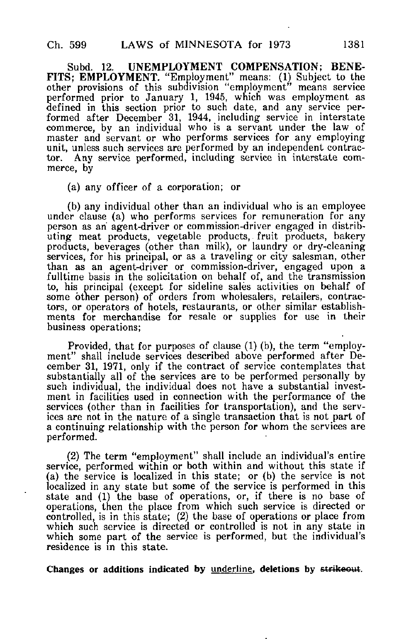Subd. 12. UNEMPLOYMENT COMPENSATION; BENE-FITS; EMPLOYMENT. "Employment" means: (1) Subject to the other provisions of this subdivision "employment" means service performed prior to January 1, 1945, which was employment as defined in this section prior to such date, and any service performed after December 31, 1944, including service in interstate commerce, by an individual who is a servant under the law of master and servant or who performs services for any employing unit, unless such services are performed by an independent contractor. Any service performed, including service in interstate commerce, by

(a) any officer of a corporation; or

(b) any individual other than an individual who is an employee under clause (a) who performs services for remuneration for any person as an agent-driver or commission-driver engaged in distributing meat products, vegetable products, fruit products, bakery products, beverages (other than milk), or laundry or dry-cleaning services, for his principal, or as a traveling or city salesman, other than as an agent-driver or commission-driver, engaged upon a fulltime basis in the solicitation on behalf of, and the transmission to, his principal (except for sideline sales activities on behalf of some other person) of orders from wholesalers, retailers, contractors, or operators of hotels, restaurants, or other similar establishments for merchandise for resale or supplies for use in their business operations;

Provided, that for purposes of clause (1) (b), the term "employment" shall include services described above performed after December 31, 1971, only if the contract of service contemplates that substantially all of the services are to be performed personally by such individual, the individual does not have a substantial investment in facilities used in connection with the performance of the services (other than in facilities for transportation), and the services are not in the nature of a single transaction that is not part of a continuing relationship with the person for whom the services are performed.

(2) The term "employment" shall include an individual's entire service, performed within or both within and without this state if (a) the service is localized in this state; or (b) the service is not localized in any state but some of the service is performed in this state and (1) the base of operations, or, if there is no base of operations, then the place from which such service is directed or controlled, is in this state; (2) the base of operations or place from which such service is directed or controlled is not in any state in which some part of the service is performed, but the individual's residence is in this state.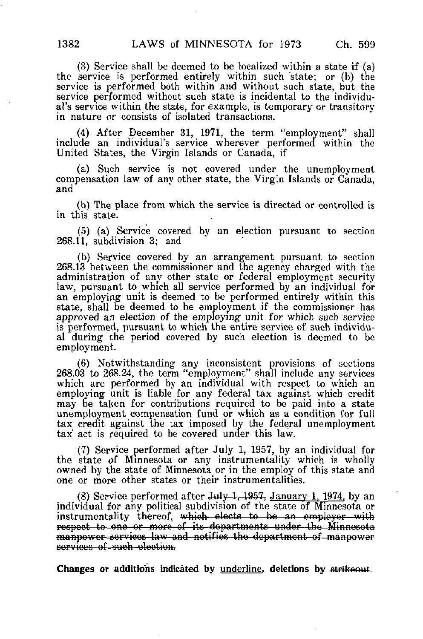(3) Service shall be deemed to be localized within a state if (a) the service is performed entirely within such state; or (b) the service is performed both within and without such state, but the service performed without such state is incidental to the individual's service within the state, for example, is temporary or transitory in nature or consists of isolated transactions.

(4) After December 31, 1971, the term "employment" shall include an individual's service wherever performed within the United States, the Virgin Islands or Canada, if

(a) Such service is not covered under the unemployment compensation law of any other state, the Virgin Islands or Canada, and

(b) The place from which the service is directed or controlled is in this state.

(5) (a) Service covered by an election pursuant to section 268.11, subdivision 3; and

(b) Service covered by an arrangement pursuant to section 268.13 between the commissioner and the agency charged with the administration of any other state or federal employment security law, pursuant to which all service performed by an individual for an employing unit is deemed to be performed entirely within this state, shall be deemed to be employment if the commissioner has approved an election of the employing unit for which such service is performed, pursuant to which the entire service of such individual during the period covered by such election is deemed to be employment.

(6) Notwithstanding any inconsistent provisions of sections 268.03 to 268.24, the term "employment" shall include any services which are performed by an individual with respect to which an employing unit is liable for any federal tax against which credit may be taken for contributions required to be paid into a state unemployment compensation fund or which as a condition for full tax credit against the tax imposed by the federal unemployment tax" act is required to be covered under this law.

(7) Service performed after July 1, 1957, by an individual for the state of Minnesota or any instrumentality which is wholly owned by the state of Minnesota or in the employ of this state and one or more other states or their instrumentalities.

(8) Service performed after July 1,  $1957$ , January 1, 1974, by an individual for any political subdivision of the state of Minnesota or instrumentality thereof, which elects to be an employer with respoot to-one or more of its departments under the—Minnesota manpower-services law and notifies the department of manpower services of such election.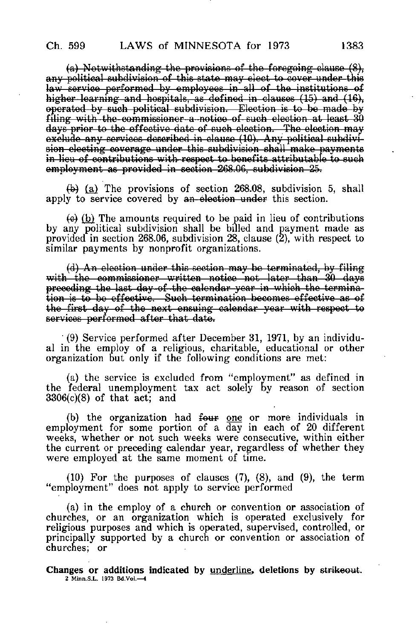(a) Notwithstanding the provisions of the foregoing clause (8), any political subdivision of this state may elect to cover under this law service performed by employees in all of the institutions of higher learning and hospitals, as defined in clauses (15) and (16), operated by such political subdivision.—Election is to be made by filing with the commissioner a notice of such election at least 30 days prior to the effective date of such election. The election may exekide any services described in clause (10). Any political subdivision electing coverage under this subdivision shall make payments in lieu of contributions with-respect to benefits attributable to such employment as provided in section 268.06, subdivision 25.

 $(h)$  (a) The provisions of section 268.08, subdivision 5, shall apply to service covered by an-election under this section.

 $\left(\theta\right)$  (b) The amounts required to be paid in lieu of contributions by any political subdivision shall be billed and payment made as provided in section 268.06, subdivision 28, clause (2), with respect to similar payments by nonprofit organizations.

(d) An election under this section may be terminated, by filing with the commissioner written notice not later than 30 days preceding tho last day of tho calendar year in which the tormina tion is to be effective. Such termination becomes effective as of the first day of the next ensuing calendar year with respect to services performed after that date.

(9) Service performed after December 31, 1971, by an individual in the employ of a religious, charitable, educational or other organization but only if the following conditions are met:

(a) the service is excluded from "employment" as defined in the federal unemployment tax act solely by reason of section 3306(c)(8) of that act; and

(b) the organization had four one or more individuals in employment for some portion of a day in each of 20 different weeks, whether or not such weeks were consecutive, within either the current or preceding calendar year, regardless of whether they were employed at the same moment of time.

(10) For the purposes of clauses (7), (8), and (9), the term "employment" does not apply to service performed

(a) in the employ of a church or convention or association of churches, or an organization which is operated exclusively for religious purposes and which is operated, supervised, controlled, or principally supported by a church or convention or association of churches; or

Changes or additions indicated by underline, deletions by strikeout. 2 Minn.S.L. 1973 Bd.Voi.—4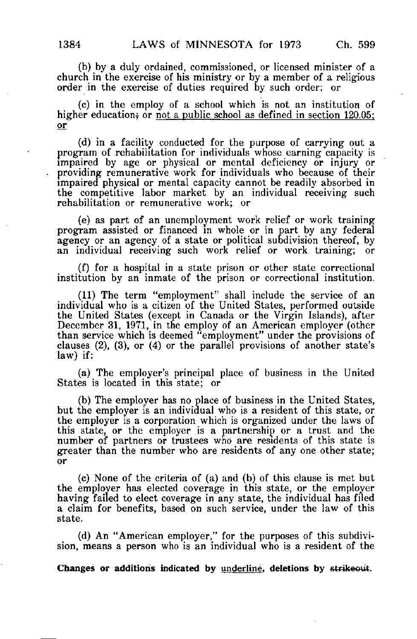(b) by a duly ordained, commissioned, or licensed minister of a church in the exercise of his ministry or by a member of a religious order in the exercise of duties required by such order; or

(c) in the employ of a school which is not an institution of higher education; or not a public school as defined in section 120.05; or

(d) in a facility conducted for the purpose of carrying out a program of rehabilitation for individuals whose earning capacity is impaired by age or physical or mental deficiency or injury or providing remunerative work for individuals who because of their impaired physical or mental capacity cannot be readily absorbed in the competitive labor market by an individual receiving such rehabilitation or remunerative work; or

(e) as part of an unemployment work relief or work training program assisted or financed in whole or in part by any federal agency or an agency of a state or political subdivision thereof, by an individual receiving such work relief or work training; or

(f) for a hospital in a state prison or other state correctional institution by an inmate of the prison or correctional institution.

(11) The term "employment" shall include the service of an individual who is a citizen of the United States, performed outside the United States (except in Canada or the Virgin Islands), after December 31, 1971, in the employ of an American employer (other than service which is deemed "employment" under the provisions of clauses (2), (3), or (4) or the parallel provisions of another state's law) if:

(a) The employer's principal place of business in the United States is located in this state; or

(b) The employer has no place of business in the United States, but the employer is an individual who is a resident of this state, or the employer is a corporation which is organized under the laws of this state, or the employer is a partnership or a trust and the number of partners or trustees who are residents of this state is greater than the number who are residents of any one other state; or

(c) None of the criteria of (a) and (b) of this clause is met but the employer has elected coverage in this state, or the employer having failed to elect coverage in any state, the individual has filed a claim for benefits, based on such service, under the law of this state.

(d) An "American employer," for the purposes of this subdivision, means a person who is an individual who is a resident of the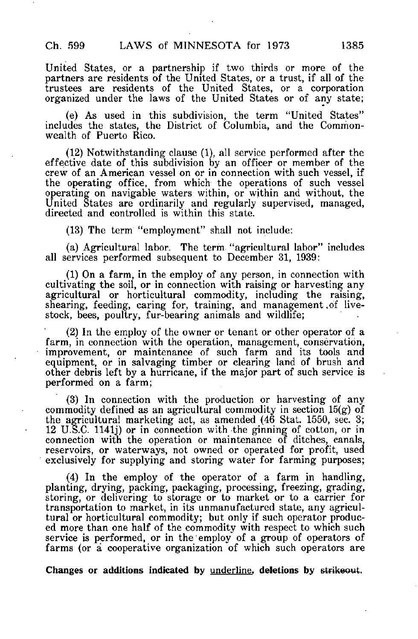United States, or a partnership if two thirds or more of the partners are residents of the United States, or a trust, if all of the trustees are residents of the United States, or a corporation organized under the laws of the United States or of any state;

(e) As used in this subdivision, the term "United States" includes the states, the District of Columbia, and the Commonwealth of Puerto Rico.

(12) Notwithstanding clause (1), all service performed after the effective date of this subdivision by an officer or member of the crew of an American vessel on or in connection with such vessel, if the operating office, from which the operations of such vessel operating on navigable waters within, or within and without, the United States are ordinarily and regularly supervised, managed, directed and controlled is within this state.

(13) The term "employment" shall not include:

(a) Agricultural labor. The term "agricultural labor" includes all services performed subsequent to December 31, 1939:

(1) On a farm, in the employ of any person, in connection with cultivating the soil, or in connection with raising or harvesting any agricultural or horticultural commodity, including the raising, shearing, feeding, caring for, training, and management ,of livestock, bees, poultry, fur-bearing animals and wildlife;

(2) In the employ of the owner or tenant or other operator of a farm, in connection with the operation, management, conservation, improvement, or maintenance of such farm and its tools and equipment, or in salvaging timber or clearing land of brush and other debris left by a hurricane, if the major part of such service is performed on a farm;

(3) In connection with the production or harvesting of any commodity defined as an agricultural commodity in section 15(g) of the agricultural marketing act, as amended (46 Stat. 1550, sec. 3; 12 U.S.C. 1141J) or in connection with the ginning of cotton, or in connection with the operation or maintenance of ditches, canals, reservoirs, or waterways, not owned or operated for profit, used exclusively for supplying and storing water for farming purposes;

(4) In the employ of the operator of a farm in handling, planting, drying, packing, packaging, processing, freezing, grading, storing, or delivering to storage or to market or to a carrier for transportation to market, in its unmanufactured state, any agricultural or horticultural commodity; but only if such operator produced more than one half of the commodity with respect to which such service is performed, or in the employ of a group of operators of farms (or a cooperative organization of which such operators are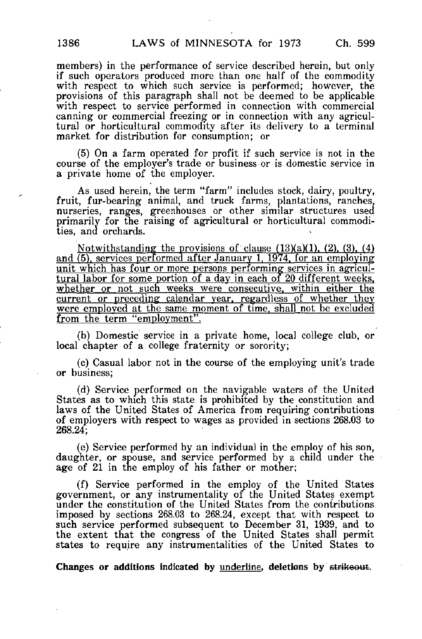members) in the performance of service described herein, but only if such operators produced more than one half of the commodity with respect to which such service is performed; however, the provisions of this paragraph shall not be deemed to be applicable with respect to service performed in connection with commercial canning or commercial freezing or in connection with any agricultural or horticultural commodity after its delivery to a terminal market for distribution for consumption; or

(5) On a farm operated for profit if such service is not in the course of the employer's trade or business or is domestic service in a private home of the employer.

As used herein, the term "farm" includes stock, dairy, poultry, fruit, fur-bearing animal, and truck farms, plantations, ranches, nurseries, ranges, greenhouses or other similar structures used primarily for the raising of agricultural or horticultural commodities, and orchards.

Notwithstanding the provisions of clause  $(13)(a)(1)$ ,  $(2)$ ,  $(3)$ ,  $(4)$ and  $(5)$ , services performed after January 1, 1974, for an employing unit which has four or more persons performing services in agricultural labor for some portion of a day in each of 20 different weeks, whether or not such weeks were consecutive, within either the current or preceding calendar year, regardless of whether they were employed at the same moment of time, shall not be excluded from the term "employment".

(b) Domestic service in a private home, local college club, or local chapter of a college fraternity or sorority;

(c) Casual labor not in the course of the employing unit's trade or business;

(d) Service performed on the navigable waters of the United States as to which this state is prohibited by the constitution and laws of the United States of America from requiring contributions of employers with respect to wages as provided in sections 268.03 to 268.24;

(e) Service performed by an individual in the employ of his son, daughter, or spouse, and service performed by a child under the age of 21 in the employ of his father or mother;

(f) Service performed in the employ of the United States government, or any instrumentality of the United States exempt under the constitution of the United States from the contributions imposed by sections 268.03 to 268.24, except that with respect to such service performed subsequent to December 31, 1939, and to the extent that the congress of the United States shall permit states to require any instrumentalities of the United States to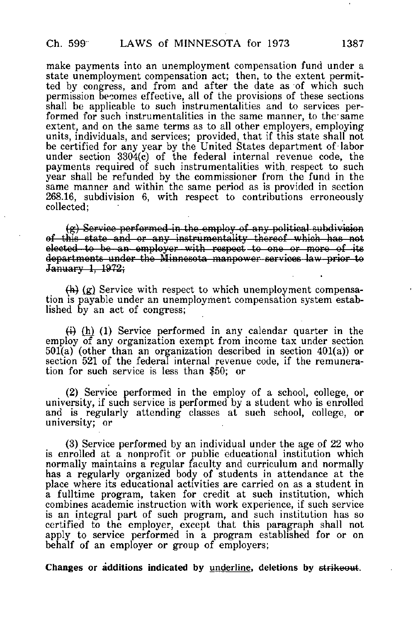make payments into an unemployment compensation fund under a state unemployment compensation act; then, to the extent permitted by congress, and from and after the date as of which such permission becomes effective, all of the provisions of these sections shall be applicable to such instrumentalities and to services performed for such instrumentalities in the same manner, to the' same extent, and on the same terms as to all other employers, employing units, individuals, and services; provided, that if this state shall not be certified for any year by the United States department of labor under section 3304{c) of the federal internal revenue code, the payments required of such instrumentalities with, respect to such year shall be refunded by the commissioner from the fund in the same manner and within the same period as is provided in section 268.16, subdivision 6, with respect to contributions erroneously collected;

 $(g)$  Service performed in the employ of any political subdivision of this state and or any instrumentality thereof which hae not elected to be an employer with respect to one or more of its departments under the Minnesota manpower services law prior to January 1, 1972;

 $(h)$  (g) Service with respect to which unemployment compensation is payable under an unemployment compensation system established by an act of congress;

 $\overline{h}(h)$  (1) Service performed in any calendar quarter in the employ of any organization exempt from income tax under section 501(a) (other than an organization described in section 401(a)) or section 521 of the federal internal revenue code, if the remuneration for such service is less than \$50; or

(2) Service performed in the employ of a school, college, or university, if such service is performed by a student who is enrolled and is regularly attending classes at such school, college, or university; or

(3) Service performed by an individual under the age of 22 who is enrolled at a nonprofit or public educational institution which normally maintains a regular faculty and curriculum and normally has a regularly organized body of students in attendance at the place where its educational activities are carried on as a student in a fulltime program, taken for credit at such institution, which combines academic instruction with work experience, if such service is an integral part of such program, and such institution has so certified to the employer, except that this paragraph shall not apply to service performed in a program established for or on behalf of an employer or group of employers;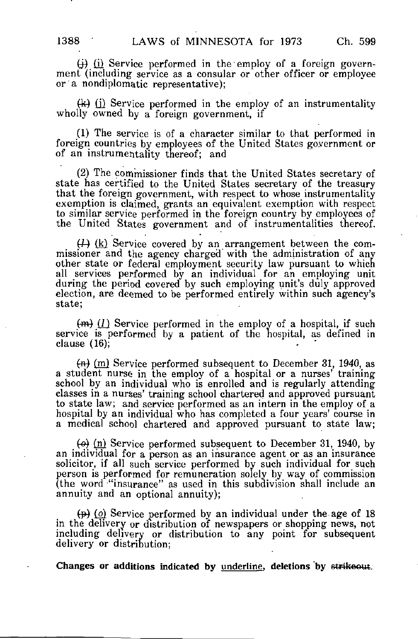$(i)$   $(i)$  Service performed in the employ of a foreign government (including service as a consular or other officer or employee or a nondiplomatic representative);

 $(k)$  (i) Service performed in the employ of an instrumentality wholly owned by a foreign government, if

(1) The service is of a character similar to that performed in foreign countries by employees of the United States government or of an instrumentality thereof; and

(2) The commissioner finds that the United States secretary of state has certified to the United States secretary of the treasury that the foreign government, with respect to whose instrumentality exemption is claimed, grants an equivalent exemption with respect to similar service performed in the foreign country by employees of the United States government and of instrumentalities thereof.

 $(1)$  (k) Service covered by an arrangement between the commissioner and the agency charged with the administration of any other state or federal employment security law pursuant to which all services performed by an individual for an employing unit during the period covered by such employing unit's duly approved election, are deemed to be performed entirely within such agency's state;

 $(m)$  (1) Service performed in the employ of a hospital, if such service is performed by a patient of the hospital, as defined in clause (16);

 $(n)$  (m) Service performed subsequent to December 31, 1940, as a student nurse in the employ of a hospital or a nurses' training school by an individual who is enrolled and is regularly attending classes in a nurses' training school chartered and approved pursuant to state law; and service performed as an intern in the employ of a hospital by an individual who has completed a four years' course in a medical school chartered and approved pursuant to state law;

 $\left(\Theta\right)$  (n) Service performed subsequent to December 31, 1940, by an individual for a person as an insurance agent or as an insurance solicitor, if all such service performed by such individual for such person is performed for remuneration solely by way of commission (the word "insurance" as used in this subdivision shall include an annuity and an optional annuity);

 $(p)$  (o) Service performed by an individual under the age of 18 in the delivery or distribution of newspapers or shopping news, not including delivery or distribution to any point for subsequent delivery or distribution;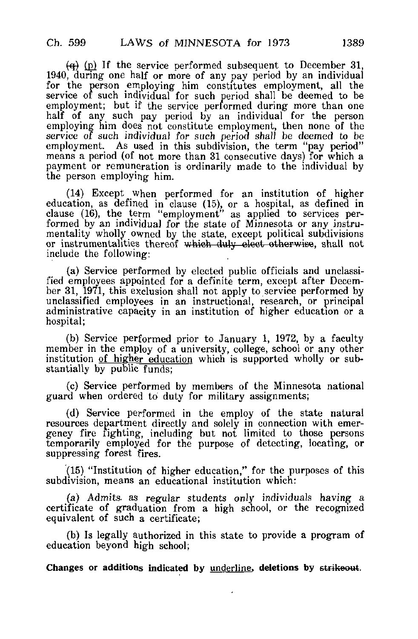$\overline{a}$  (p) If the service performed subsequent to December 31, 1940, during one half or more of any pay period by an individual for the person employing him constitutes employment, all the service of such individual for such period shall be deemed to be employment; but if the service performed during more than one half of any such pay period by an individual for the person employing him does not constitute employment, then none of the service of such individual for such period shall be deemed to be employment. As used in this subdivision, the term "pay period" means a period (of not more than 31 consecutive days) for which a payment or remuneration is ordinarily made to the individual by the person employing him.

(14) Except when performed for an institution of higher education, as defined in clause (15), or a hospital, as defined in clause (16), the term "employment" as applied to services performed by an individual for the state of Minnesota or any instrumentality wholly owned by the state, except political subdivisions or instrumentalities thereof which duly elect otherwise, shall not include the following:

(a) Service performed by elected public officials and unclassified employees appointed for a definite term, except after December 31, 1971, this exclusion shall not apply to service performed by unclassified employees in an instructional, research, or principal administrative capacity in an institution of higher education or a hospital;

(b) Service performed prior to January 1, 1972, by a faculty member in the employ of a university, college, school or any other institution of higher education which is supported wholly or substantially by public funds;

(c) Service performed by members of the Minnesota national guard when ordered to duty for military assignments;

(d) Service performed in the employ of the state natural resources department directly and solely in connection with emergency fire fighting, including but not limited to those persons temporarily employed for the purpose of detecting, locating, or suppressing forest fires.

(15) "Institution of higher education," for the purposes of this subdivision, means an educational institution which:

(a) Admits, as regular students only individuals having a certificate of graduation from a high school, or the recognized equivalent of such a certificate;

(b) Is legally authorized in this state to provide a program of education beyond high school;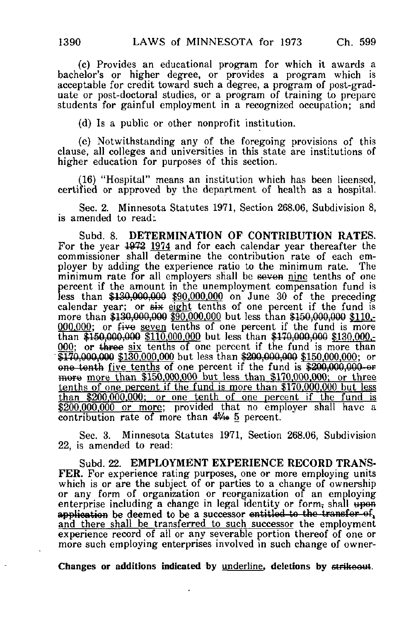(c) Provides an educational program for which it awards a bachelor's or higher degree, or provides a program which is acceptable for credit toward such a degree, a program of post-graduate or post-doctoral studies, or a program of training to prepare students for gainful employment in a recognized occupation; and

(d) Is a public or other nonprofit institution.

(e) Notwithstanding any of the foregoing provisions of this clause, all colleges and universities in this state are institutions of higher education for purposes of this section.

(16) "Hospital" means an institution which has been licensed, certified or approved by the department of health as a hospital.

Sec. 2. Minnesota Statutes 1971, Section 268.06, Subdivision 8, is amended to read:.

Subd. 8. DETERMINATION OF CONTRIBUTION RATES. For the year 1972 1974 and for each calendar year thereafter the commissioner shall determine the contribution rate of each employer by adding the experience ratio to the minimum rate. The minimum rate for all employers shall be seven nine tenths of one percent if the amount in the unemployment compensation fund is less than \$130,000,000 \$90.000.000 on June 30 of the preceding calendar year; or six eight tenths of one percent if the fund is more than \$130,000,000 \$90,000,000 but less than \$150,000,000 \$110.- $000,000$ ; or  $f$ ive seven tenths of one percent if the fund is more than \$150,000,000 \$110,000,000 but less than \$170,000,000 \$130,000,- $000$ ; or three six tenths of one percent if the fund is more than  $\overline{$170,000,000 $130,000,000}$  but less than  $$200,000,000 $150,000,000;$  or one tenth five tenths of one percent if the fund is \$200,000,000-or more more than  $$150,000,000$  but less than  $$170,000,000$ ; or three tenths of one percent if the fund is more than \$170.000.000 but less than \$200.000.000: or one tenth of one percent if the fund is \$200,000,000 or more; provided that no employer shall have a contribution rate of more than 4%» 5 percent.

Sec. 3. Minnesota Statutes 1971, Section 268.06, Subdivision 22, is amended to read:

Subd. 22. EMPLOYMENT EXPERIENCE RECORD TRANS-FER. For experience rating purposes, one or more employing units which is or are the subject of or parties to a change of ownership or any form of organization or reorganization of an employing enterprise including a change in legal identity or form, shall upen application be deemed to be a successor entitled to the transfer of, and there shall be transferred to such successor the employment experience record of all or any severable portion thereof of one or more such employing enterprises involved in such change of owner-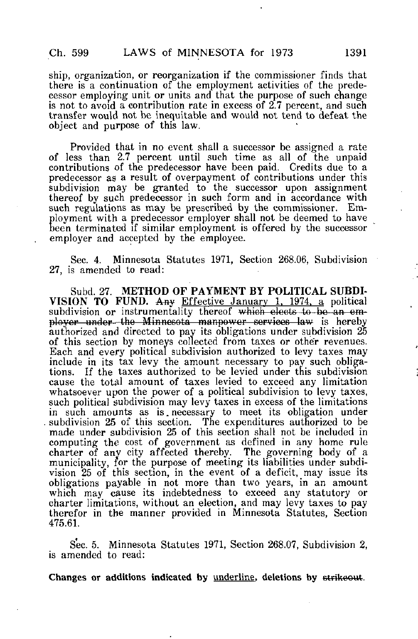ship, organization, or reorganization if the commissioner finds that there is a continuation of the employment activities of the predecessor employing unit or units and that the purpose of such change is not to avoid a contribution rate in excess of 2.7 percent, and such transfer would not be inequitable and would not tend to defeat the object and purpose of this law.

Provided that in no event shall a successor be assigned a rate of less than 2.7 percent until such time as all of the unpaid contributions of the predecessor have been paid. Credits due to a predecessor as a result of overpayment of contributions under this subdivision may be granted to the successor upon assignment thereof by such predecessor in such form and in accordance with such regulations as may be prescribed by the commissioner. Employment with a predecessor employer shall not be deemed to have been terminated if similar employment is offered by the successor employer and accepted by the employee.

Sec. 4. Minnesota Statutes 1971, Section 268.06, Subdivision 27, is amended to read:

Subd. 27. METHOD OF PAYMENT BY POLITICAL SUBDI-VISION TO FUND. Any Effective January 1, 1974, a political subdivision or instrumentality thereof which elects to be an em ployor under--the Minnesota manpower services law is hereby authorized and directed to pay its obligations under subdivision 25 of this section by moneys collected from taxes or other revenues. Each and every political subdivision authorized to levy taxes may include in its tax levy the amount necessary to pay such obligations. If the taxes authorized to be levied under this subdivision cause the total amount of taxes levied to exceed any limitation whatsoever upon the power of a political subdivision to levy taxes, such political subdivision may levy taxes in excess of the limitations in such amounts as is. necessary to meet its obligation under subdivision 25 of this section. The expenditures authorized to be made under subdivision 25 of this section shall not be included in computing the cost of government as defined in any home rule charter of any city affected thereby. The governing body of a municipality, for the purpose of meeting its liabilities under subdivision 25 of this section, in the event of a deficit, may issue its obligations payable in not more than two years, in an amount which may cause its indebtedness to exceed any statutory or charter limitations, without an election, and may levy taxes to pay therefor in the manner provided in Minnesota Statutes, Section 475.61.

Sec. 5. Minnesota Statutes 1971, Section 268.07, Subdivision 2, is amended to read: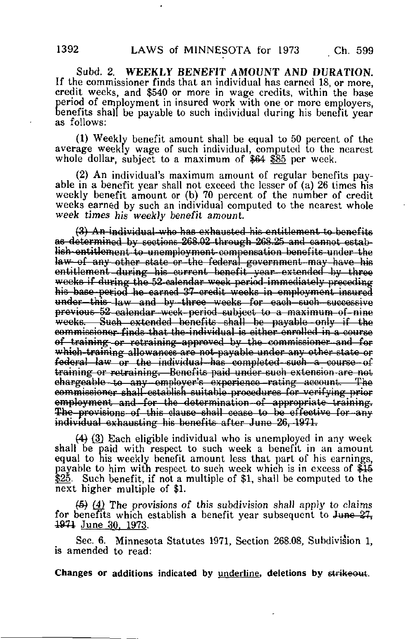Subd. 2. WEEKLY BENEFIT AMOUNT AND DURATION. If the commissioner finds that an individual has earned 18, or more, credit weeks, and \$540 or more in wage credits, within the base period of employment in insured work with one or more employers, benefits shall be payable to such individual during his benefit year as follows:

(1) Weekly benefit amount shall be equal to 50 percent of the average weekly wage of such individual, computed to the nearest whole dollar, subject to a maximum of \$64 \$85 per week.

(2) An individual's maximum amount of regular benefits payable in a benefit year shall not exceed the lesser of (a) 26 times his weekly benefit amount or (b) 70 percent of the number of credit weeks earned by such an individual computed to the nearest whole week times his weekly benefit amount

 $(3)$  An individual who has exhausted his entitlement to benefits as determined by sections 268.02 through 268.25 and cannot establish-entitlement to unemployment-compensation benefits-under the law—of any other state or the federal government may have his entitlement during his current benefit year extended by three weeks if during the 52-calendar week period immediately preceding his base period he earned 37-credit weeks in employment insured under this law and by three weeks for each such successive previous 52 calendar week-period subject to a maximum-of-niae weeks. Such extended benefits shall be payable only if the commissioner finds that the individual is either enrolled in a course of training or retraining approved by the commissioner and for which-training allowances are not-payable under any other state or  $f$ ederal law or the individual has completed such a course of training or retraining. Benefits paid under such extension are not ohargoablo to any -employer's experience— rating account. — The commissioner shall establish suitable-procedures for verifying prior employment and for the determination of appropriate training. The-provisions of this clause shall cease to be effective for any individual exhausting his benefits after June 26, 1971.

(4) (3) Each eligible individual who is unemployed in any week shall be paid with respect to such week a benefit in an amount equal to his weekly benefit amount less that part of his earnings, payable to him with respect to such week which is in excess of \$44 \$25. Such benefit, if not a multiple of \$1, shall be computed to the next higher multiple of \$1.

 $(5)$   $(4)$  The provisions of this subdivision shall apply to claims for benefits which establish a benefit year subsequent to June  $27$ . 1971 June 30, 1973.

Sec. 6. Minnesota Statutes 1971, Section 268.08, Subdivision 1, is amended to read: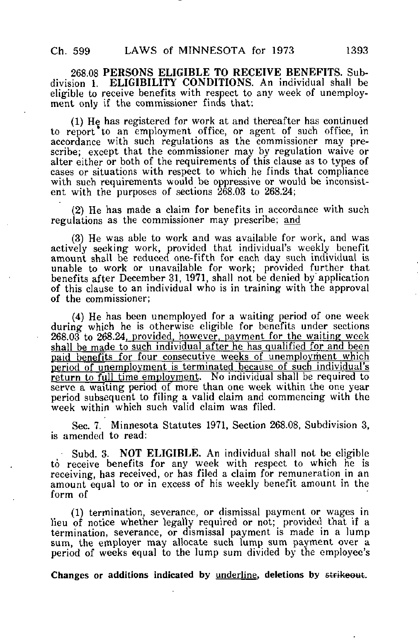268.08 PERSONS ELIGIBLE TO RECEIVE BENEFITS. Subdivision 1. ELIGIBILITY CONDITIONS. An individual shall be eligible to receive benefits with respect to any week of unemployment only if the commissioner finds that:

 $(1)$  He has registered for work at and thereafter has continued to report to an employment office, or agent of such office, in accordance with such regulations as the commissioner may prescribe; except that the commissioner may by regulation waive or alter either or both of the requirements of this clause as to types of cases or situations with respect to which he finds that compliance with such requirements would be oppressive or would be inconsistent with the purposes of sections  $268.03$  to  $268.24$ ;

(2) He has made a claim for benefits in accordance with such regulations as the commissioner may prescribe; and

(3) He was able to work and was available for work, and was actively seeking work, provided that individual's weekly benefit amount shall be reduced one-fifth for each day such individual is unable to work or unavailable for work; provided further that benefits after December 31, 1971, shall not be denied by application of this clause to an individual who is in training with the approval of the commissioner;

(4) He has been unemployed for a waiting period of one week during which he is otherwise eligible for benefits under sections 268.03 to 268.24. provided, however, payment for the waiting week shall be made to such individual after he has qualified for and been paid benefits for four consecutive weeks of unemployment which period of unemployment is terminated because of such individual's return to full time employment. No individual shall be required to serve a waiting period of more than one week within the one year period subsequent to filing a valid claim and commencing with the week within which such valid claim was filed.

Sec. 7. Minnesota Statutes 1971, Section 268.08, Subdivision 3, is amended to read:

Subd. 3. NOT ELIGIBLE. An individual shall not be eligible to receive benefits for any week with respect to which he is receiving, has received, or has filed a claim for remuneration in an amount equal to or in excess of his weekly benefit amount in the form of

(1) termination, severance, or dismissal payment or wages in lieu of notice whether legally required or not; provided that if a termination, severance, or dismissal payment is made in a lump sum, the employer may allocate such lump sum payment over a period of weeks equal to the lump sum divided by the employee's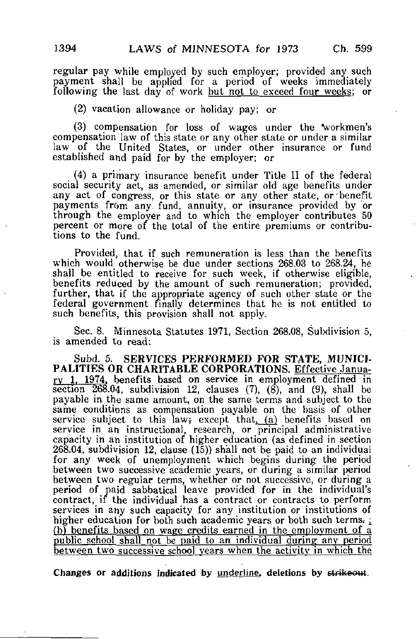regular pay while employed by such employer; provided any such payment shall be applied for a period of weeks immediately following the last day of work but not to exceed four weeks; or

(2) vacation allowance or holiday pay; or

(3) compensation for loss of wages under the "workmen's compensation law of this state or any other state or under a similar law of the United States, or under other insurance or fund established and paid for by the employer; or

(4) a primary insurance benefit under Title 11 of the federal social security act, as amended, or similar old age benefits under any act of congress, or this state or any other state, or'benefit payments from any. fund, annuity, or insurance provided by or through the employer and to which the employer contributes 50 percent or more of the total of the entire premiums or contributions to the fund.

Provided, that if such remuneration is less than the benefits which would otherwise be due under sections 268.03 to 268.24, he shall be entitled to receive for such week, if otherwise eligible, benefits reduced by the amount of such remuneration; provided, further, that if the appropriate agency of such other state or the federal government finally determines that he is not entitled to such benefits, this provision shall not apply.

Sec. 8. Minnesota Statutes 1971, Section 268.08, Subdivision 5, is amended to read:

Subd. 5. SERVICES PERFORMED FOR STATE, MUNICI-PALITIES OR CHARITABLE CORPORATIONS. Effective January 1, 1974, benefits based on service in employment defined in section  $268.04$ , subdivision 12, clauses  $(7)$ ,  $(8)$ , and  $(9)$ , shall be payable in the same amount, on the same terms and subject to the same conditions as compensation payable on the basis of other service subject to this law; except that (a) benefits based on service in an instructional, research, or principal administrative capacity in an institution of higher education (as defined in section 268.04, subdivision 12, clause (15)) shall not be paid to an individual for any week of unemployment which begins during the period between two successive academic years, or during a similar period between two regular terms, whether or not successive, or during a period of paid sabbatical leave provided for in the individual's contract, if the individual has a contract or contracts to perform services in any such capacity for any institution or institutions of higher education for both such academic years or both such terms.  $\frac{1}{2}$ (b) benefits based on wage credits earned in the employment of a public school shall not be paid to an individual during any period between two successive school years when the activity in which the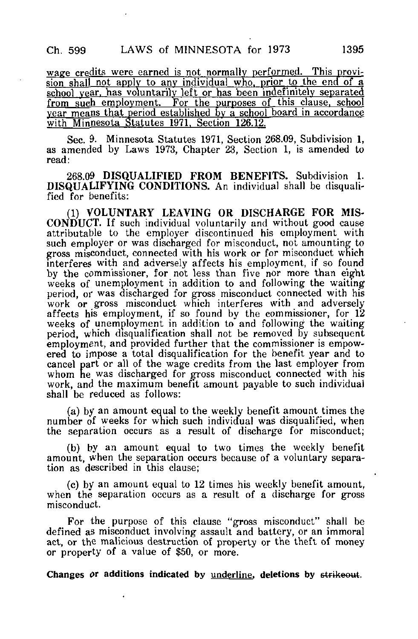wage credits were earned is not normally performed. This provision shall not apply to any individual who, prior to the end of a school year, has voluntarily left or has been indefinitely separated from such employment. For the purposes of this clause, school year means that period established by a school board in accordance with Minnesota Statutes 1971. Section 126.12.

Sec. 9. Minnesota Statutes 1971, Section 268.09, Subdivision 1, as amended by Laws 1973, Chapter 23, Section 1, is amended to read:

268.09 DISQUALIFIED FROM BENEFITS. Subdivision 1. DISQUALIFYING CONDITIONS. An individual shall be disqualified for benefits:

(1) VOLUNTARY LEAVING OR DISCHARGE FOR MIS-CONDUCT. If such individual voluntarily and without good cause attributable to the employer discontinued his employment with such employer or was discharged for misconduct, not amounting to gross misconduct, connected with his work or for misconduct which interferes with and adversely affects his employment, if so found by the commissioner, for not less than five nor more than eight weeks of unemployment in addition to and following the waiting period, or was discharged for gross misconduct connected with his work or gross misconduct which interferes with and adversely affects his employment, if so found by the commissioner, for 12 weeks of unemployment in addition to and following the waiting period, which disqualification shall not be removed by subsequent employment, and provided further that the commissioner is empowered to impose a total disqualification for the benefit year and to cancel part or all of the wage credits from the last employer from whom he was discharged for gross misconduct connected with his work, and the maximum benefit amount payable to such individual shall be reduced as follows:

(a) by an amount equal to the weekly benefit amount times the number of weeks for which such individual was disqualified, when the separation occurs as a result of discharge for misconduct;

(b) by an amount equal to two times the weekly benefit amount, when the separation occurs because of a voluntary separation as described in this clause;

(c) by an amount equal to 12 times his weekly benefit amount, when the separation occurs as a result of a discharge for gross misconduct.

For the purpose of this clause "gross misconduct" shall be defined as misconduct involving assault and battery, or an immoral act, or the malicious destruction of property or the theft of money or property of a value of \$50, or more.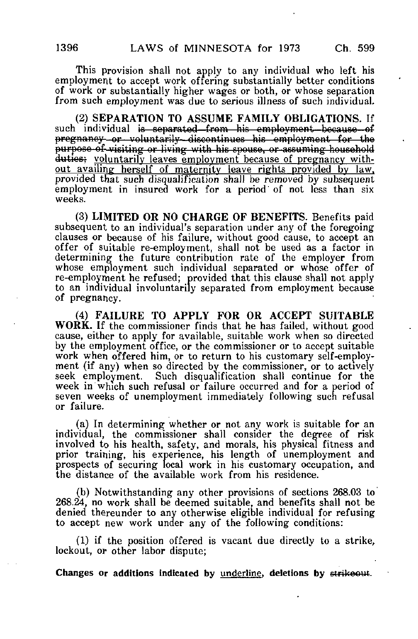This provision shall not apply to any individual who left his employment to accept work offering substantially better conditions of work or substantially higher wages or both, or whose separation from such employment was due to serious illness of such individual,

(2) SEPARATION TO ASSUME FAMILY OBLIGATIONS. If such individual is separated—from his employment—because—of pregnancy or voluntarily—discontinues his employment for the purpose of- visiting or living with his spouse, or assuming household duties; voluntarily leaves employment because of pregnancy without availing herself of maternity leave rights provided by law. provided that such disqualification shall be removed by subsequent employment in insured work for a period of not less than six weeks.

(3) LIMITED OR NO CHARGE OF BENEFITS. Benefits paid subsequent to an individual's separation under any of the foregoing clauses or because of his failure, without good cause, to accept an offer of suitable re-employment, shall not be used as a factor in determining the future contribution rate of the employer from whose employment such individual separated or whose offer of re-employment he refused; provided that this clause shall not apply to an individual involuntarily separated from employment because of pregnancy.

(4) FAILURE TO APPLY FOR OR ACCEPT SUITABLE WORK. If the commissioner finds that he has failed, without good cause, either to apply for available, suitable work when so directed by the employment office, or the commissioner or to accept suitable work when offered him, or to return to his customary self-employment (if any) when so directed by the commissioner, or to actively seek employment. Such disqualification shall continue for the week in which such refusal or failure occurred and for a period of seven weeks of unemployment immediately following such refusal or failure.

(a) In determining whether or not any work is suitable for an individual, the commissioner shall consider the degree of risk involved to his health, safety, and morals, his physical fitness and prior training, his experience, his length of unemployment and prospects of securing local work in his customary occupation, and the distance of the available work from his residence.

(b) Notwithstanding any other provisions of sections 268.03 to 268.24, no work shall be deemed suitable, and benefits shall not be denied thereunder to any otherwise eligible individual for refusing to accept new work under any of the following conditions:

(1) if the position offered is vacant due directly to a strike, lockout, or other labor dispute;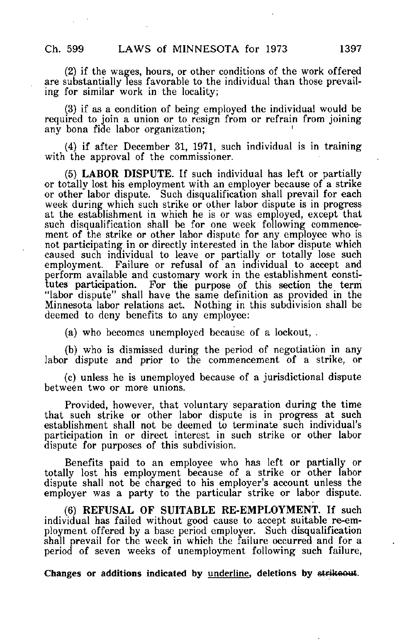(2) if the wages, hours, or other conditions of the work offered are substantially less favorable to the individual than those prevailing for similar work in the locality;

(3) if as a condition of being employed the individual would be required to join a union or to resign from or refrain from joining any bona fide labor organization; '

(4) if after December 31, 1971, such individual is in training with the approval of the commissioner.

(5) LABOR DISPUTE. If such individual has left or partially or totally lost his employment with an employer because of a strike or other labor dispute. Such disqualification shall prevail for each week during which such strike or other labor dispute is in progress at the establishment in which he is or was employed, except that such disqualification shall be for one week following commencement of the strike or other labor dispute for any employee who is not participating in or directly interested in the labor dispute which caused such individual to leave or partially or totally lose such employment. Failure or refusal of an individual to accept and perform available and customary work in the establishment constitutes participation. For the purpose of this section the term "labor dispute" shall have the same definition as provided in the Minnesota labor relations act. Nothing in this subdivision shall be deemed to deny benefits to any employee:

(a) who becomes unemployed because of a lockout, .

(b) who is dismissed during the period of negotiation in any labor dispute and prior to the commencement of a strike, or

(c) unless he is unemployed because of a jurisdictional dispute between two or more unions.

Provided, however, that voluntary separation during the time that such strike or other labor dispute is in progress at such establishment shall not be deemed to terminate such individual's participation in or direct interest in such strike or other labor dispute for purposes of this subdivision.

Benefits paid to an employee who has left or partially or totally lost his employment because of a strike or other labor dispute shall not be charged to his employer's account unless the employer was a party to the particular strike or labor dispute.

(6) REFUSAL OF SUITABLE RE-EMPLOYMENT. If such individual has failed without good cause to accept suitable re-employment offered by a base period employer. Such disqualification shall prevail for the week in which the failure occurred and for a period of seven weeks of unemployment following such failure,